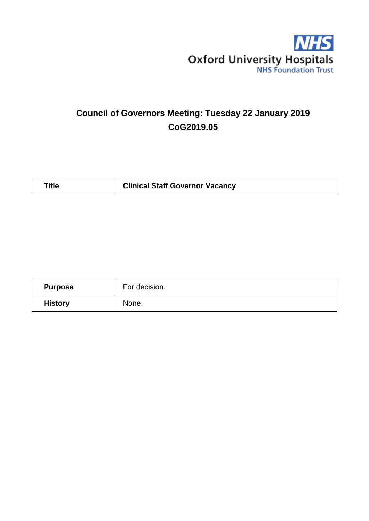

# **Council of Governors Meeting: Tuesday 22 January 2019 CoG2019.05**

| <b>Title</b> | <b>Clinical Staff Governor Vacancy</b> |
|--------------|----------------------------------------|
|--------------|----------------------------------------|

| <b>Purpose</b> | For decision. |
|----------------|---------------|
| <b>History</b> | None.         |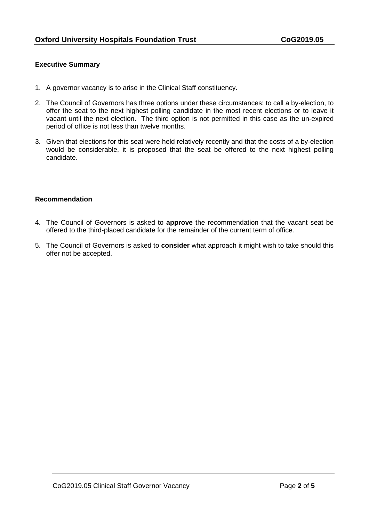## **Executive Summary**

- 1. A governor vacancy is to arise in the Clinical Staff constituency.
- 2. The Council of Governors has three options under these circumstances: to call a by-election, to offer the seat to the next highest polling candidate in the most recent elections or to leave it vacant until the next election. The third option is not permitted in this case as the un-expired period of office is not less than twelve months.
- 3. Given that elections for this seat were held relatively recently and that the costs of a by-election would be considerable, it is proposed that the seat be offered to the next highest polling candidate.

#### **Recommendation**

- 4. The Council of Governors is asked to **approve** the recommendation that the vacant seat be offered to the third-placed candidate for the remainder of the current term of office.
- 5. The Council of Governors is asked to **consider** what approach it might wish to take should this offer not be accepted.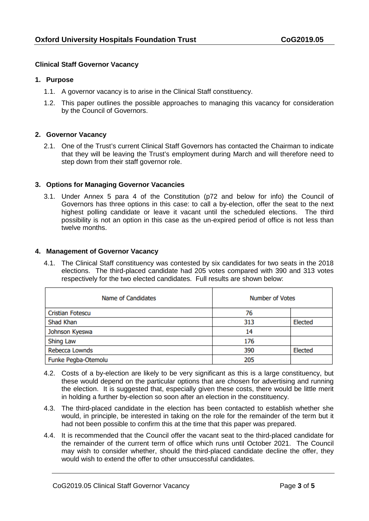### **Clinical Staff Governor Vacancy**

#### **1. Purpose**

- 1.1. A governor vacancy is to arise in the Clinical Staff constituency.
- 1.2. This paper outlines the possible approaches to managing this vacancy for consideration by the Council of Governors.

#### **2. Governor Vacancy**

2.1. One of the Trust's current Clinical Staff Governors has contacted the Chairman to indicate that they will be leaving the Trust's employment during March and will therefore need to step down from their staff governor role.

#### **3. Options for Managing Governor Vacancies**

3.1. Under Annex 5 para 4 of the Constitution (p72 and below for info) the Council of Governors has three options in this case: to call a by-election, offer the seat to the next highest polling candidate or leave it vacant until the scheduled elections. The third possibility is not an option in this case as the un-expired period of office is not less than twelve months.

#### **4. Management of Governor Vacancy**

4.1. The Clinical Staff constituency was contested by six candidates for two seats in the 2018 elections. The third-placed candidate had 205 votes compared with 390 and 313 votes respectively for the two elected candidates. Full results are shown below:

| Name of Candidates      | <b>Number of Votes</b> |         |
|-------------------------|------------------------|---------|
| <b>Cristian Fotescu</b> | 76                     |         |
| Shad Khan               | 313                    | Elected |
| Johnson Kyeswa          | 14                     |         |
| <b>Shing Law</b>        | 176                    |         |
| Rebecca Lownds          | 390                    | Elected |
| Funke Pegba-Otemolu     | 205                    |         |

- 4.2. Costs of a by-election are likely to be very significant as this is a large constituency, but these would depend on the particular options that are chosen for advertising and running the election. It is suggested that, especially given these costs, there would be little merit in holding a further by-election so soon after an election in the constituency.
- 4.3. The third-placed candidate in the election has been contacted to establish whether she would, in principle, be interested in taking on the role for the remainder of the term but it had not been possible to confirm this at the time that this paper was prepared.
- 4.4. It is recommended that the Council offer the vacant seat to the third-placed candidate for the remainder of the current term of office which runs until October 2021. The Council may wish to consider whether, should the third-placed candidate decline the offer, they would wish to extend the offer to other unsuccessful candidates.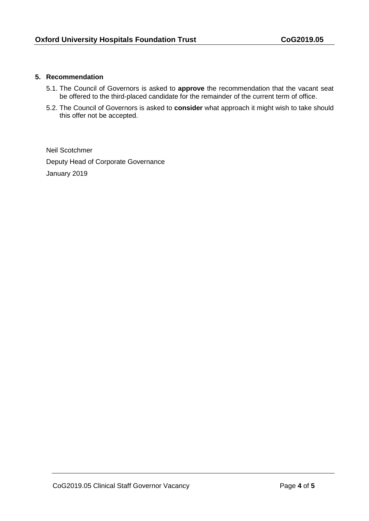### **5. Recommendation**

- 5.1. The Council of Governors is asked to **approve** the recommendation that the vacant seat be offered to the third-placed candidate for the remainder of the current term of office.
- 5.2. The Council of Governors is asked to **consider** what approach it might wish to take should this offer not be accepted.

Neil Scotchmer Deputy Head of Corporate Governance January 2019